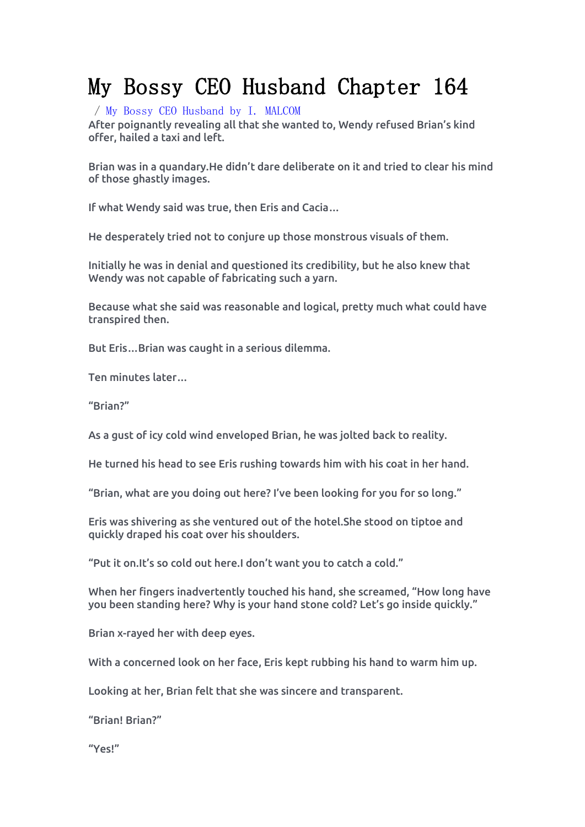## My Bossy CEO Husband Chapter 164

/ My Bossy CEO [Husband](https://noveljar.com/category/my-bossy-ceo-husband-by-i-malcom/) by I. MALCOM

After poignantly revealing all that she wanted to, Wendy refused Brian's kind offer, hailed a taxi and left.

Brian was in a quandary.He didn't dare deliberate on it and tried to clear his mind of those ghastly images.

If what Wendy said was true, then Eris and Cacia…

He desperately tried not to conjure up those monstrous visuals of them.

Initially he was in denial and questioned its credibility, but he also knew that Wendy was not capable of fabricating such a yarn.

Because what she said was reasonable and logical, pretty much what could have transpired then.

But Eris…Brian was caught in a serious dilemma.

Ten minutes later…

"Brian?"

As a gust of icy cold wind enveloped Brian, he was jolted back to reality.

He turned his head to see Eris rushing towards him with his coat in her hand.

"Brian, what are you doing out here? I've been looking for you for so long."

Eris was shivering as she ventured out of the hotel.She stood on tiptoe and quickly draped his coat over his shoulders.

"Put it on.It's so cold out here.I don't want you to catch a cold."

When her fingers inadvertently touched his hand, she screamed, "How long have you been standing here? Why is your hand stone cold? Let's go inside quickly."

Brian x-rayed her with deep eyes.

With a concerned look on her face, Eris kept rubbing his hand to warm him up.

Looking at her, Brian felt that she was sincere and transparent.

"Brian! Brian?"

"Yes!"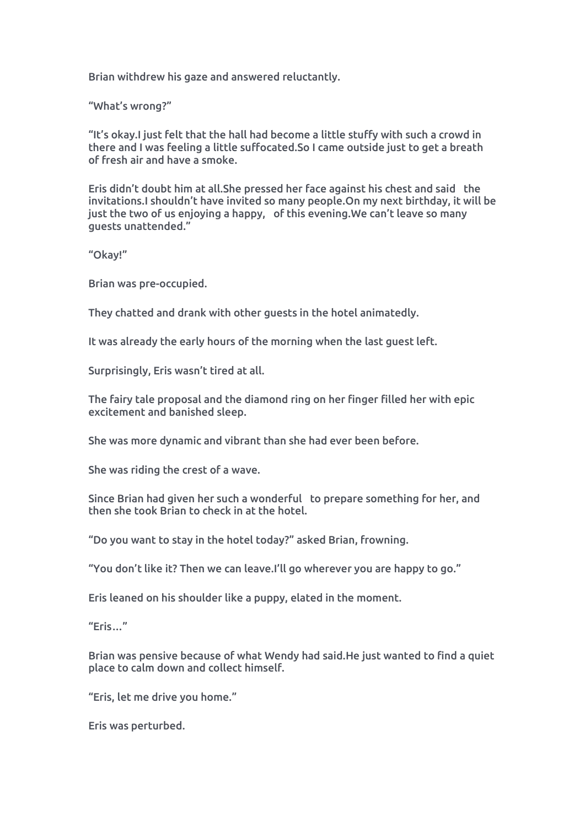Brian withdrew his gaze and answered reluctantly.

"What's wrong?"

"It's okay.I just felt that the hall had become alittle stuffy with such a crowd in there and I was feeling a little suffocated.So I came outside just to get a breath of fresh air and have a smoke.

Eris didn't doubt him at all.She pressed her face against his chest and said the invitations.I shouldn't have invited so many people.On my next birthday, it will be just the two of us enjoying a happy, of this evening. We can't leave so many guests unattended."

"Okay!"

Brian was pre-occupied.

They chatted and drank with other guests in the hotel animatedly.

It was already the early hours of the morning when the last guest left.

Surprisingly, Eris wasn't tired at all.

The fairy tale proposal and the diamond ring on her finger filled her with epic excitement and banished sleep.

She was more dynamic and vibrant than she had ever been before.

She was riding the crest of a wave.

Since Brian had given her such a wonderful to prepare something for her, and then she took Brian to check in at the hotel.

"Do you want to stay in the hotel today?" asked Brian, frowning.

"You don't like it? Then we can leave.I'll go wherever you are happy to go."

Eris leaned on his shoulder like a puppy, elated in the moment.

 $"$ Eris…"

Brian was pensive because of what Wendy had said.He just wanted to find a quiet place to calm down and collect himself.

"Eris, let me drive you home."

Eris was perturbed.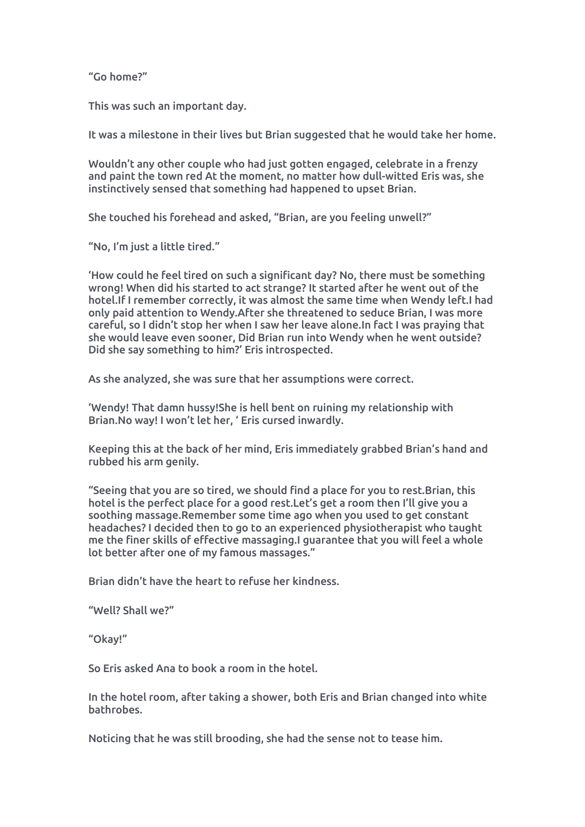"Go home?"

This was such an important day.

It was a milestone in their lives but Brian suggested that he would take her home.

Wouldn't any other couple who had just gotten engaged, celebrate in a frenzy and paint the town red At the moment, no matter how dull-witted Eris was, she instinctively sensed that something had happened to upset Brian.

She touched his forehead and asked, "Brian, are you feeling unwell?"

"No, I'm just a little tired."

'How could he feel tired on such a significant day? No, there must be something wrong! When did his started to act strange? It started after he went out of the hotel.If I remember correctly, it was almost the same time when Wendy left.I had only paid attention to Wendy.After she threatened to seduce Brian, I was more careful, so I didn't stop her when I saw her leave alone.In fact I was praying that she would leave even sooner, Did Brian run into Wendy when he went outside? Did she say something to him?' Eris introspected.

As she analyzed, she was sure that her assumptions were correct.

'Wendy! That damn hussy!She is hell bent on ruining my relationship with Brian.No way! I won't let her, ' Eris cursed inwardly.

Keeping this at the back of her mind, Eris immediately grabbed Brian's hand and rubbed his arm genily.

"Seeing that you are so tired, we should find a place for you to rest.Brian, this hotel is the perfect place for a good rest.Let's get a room then I'll give you a soothing massage.Remember some time ago when you used to get constant headaches? I decided then to go to an experienced physiotherapist who taught me the finer skills of effective massaging.I guarantee that you will feel a whole lot better after one of my famous massages."

Brian didn't have the heart to refuse her kindness.

"Well? Shallwe?"

"Okay!"

So Eris asked Ana to book a room in the hotel.

In the hotel room, after taking a shower, both Eris and Brian changed into white bathrobes.

Noticing that he was still brooding, she had the sense not to tease him.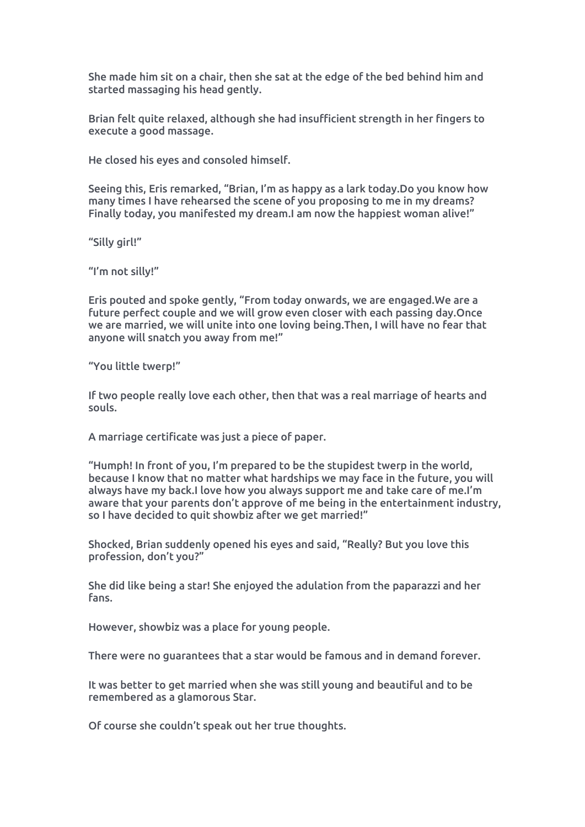She made him sit on a chair, then she sat at the edge of the bed behind him and started massaging his head gently.

Brian felt quite relaxed, although she had insufficient strength in her fingers to execute a good massage.

He closed his eyes and consoled himself.

Seeing this, Eris remarked, "Brian, I'm as happy as a lark today.Do you know how many times I have rehearsed the scene of you proposing to me in my dreams? Finally today, you manifested my dream.I am now the happiest woman alive!"

"Silly girl!"

"I'm not silly!"

Eris pouted and spoke gently, "From today onwards, we are engaged.We are a future perfect couple and we will grow even closer with each passing day.Once we are married, we will unite into one loving being.Then, I will have no fear that anyone will snatch you away from me!"

"You little twerp!"

If two people really love each other, then that was a real marriage of hearts and souls.

A marriage certificate was just a piece of paper.

"Humph! In front of you,I'm prepared to be the stupidest twerp in the world, because I know that no matter what hardships we may face in the future, you will always have my back.I love how you always support me and take care of me.I'm aware that your parents don't approve of me being in the entertainment industry, so I have decided to quit showbiz after we get married!"

Shocked, Brian suddenly opened his eyes and said, "Really? But you love this profession, don't you?"

She did like being a star! She enjoyed the adulation from the paparazzi and her fans.

However, showbiz was a place for young people.

There were no guarantees that a star would be famous and in demand forever.

It was better to get married when she was still young and beautiful and to be remembered as a glamorous Star.

Of course she couldn't speak out her true thoughts.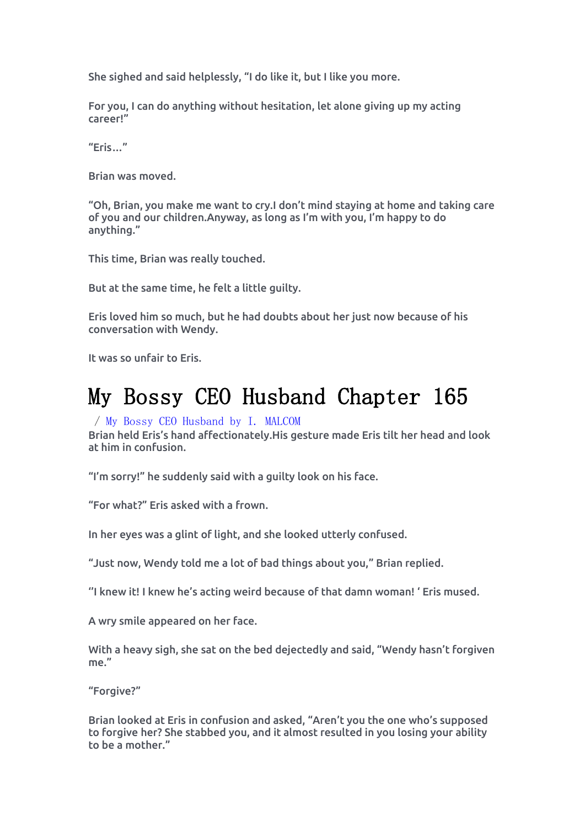She sighed and said helplessly, "I do like it, but I like you more.

For you, I can do anything without hesitation, let alone giving up my acting career!"

"Eris…"

Brian was moved.<br>"Oh, Brian, you make me want to cry.I don't mind staying at home and taking care of you and our children.Anyway, as long as I'm with you, I'm happy to do anything."

This time, Brian was really touched.

But at the same time, he felt a little guilty.

Eris loved him so much, but he had doubts about her just now because of his conversation with Wendy.

It was so unfair to Eris.

## My Bossy CEO Husband Chapter 165

## / My Bossy CEO [Husband](https://noveljar.com/category/my-bossy-ceo-husband-by-i-malcom/) by I. MALCOM

Brian held Eris'shand affectionately.His gesture made Eris tilt her head and look at him in confusion.

"I'm sorry!" he suddenly said with a guilty look on his face.<br>"For what?" Eris asked with a frown.<br>In her eyes was a glint of light, and she looked utterly confused.

"Just now, Wendy told me a lot of bad things about you," Brian replied.

''I knew it! I knew he's acting weird because of that damn woman! ' Eris mused.

A wry smile appeared on her face.

With a heavy sigh, she sat on the bed dejectedly and said, "Wendy hasn't forgiven me."

"Forgive?"

Brian looked at Eris in confusion and asked, "Aren't you the one who's supposed to forgive her? She stabbed you, and it almost resulted in you losing your ability to be a mother."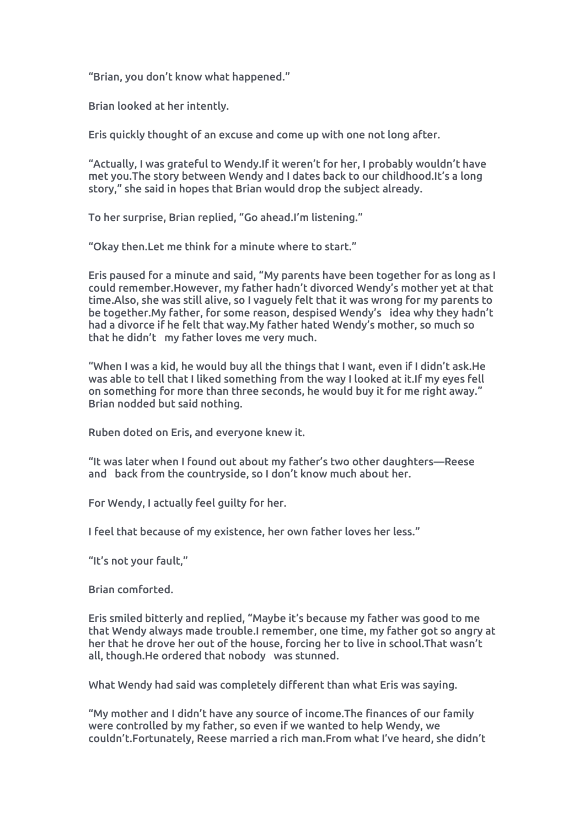"Brian, you don't know what happened."

Brian looked at her intently.

Eris quickly thought of an excuse and come up with one not long after.

"Actually, I was grateful to Wendy.If it weren't for her, I probably wouldn't have met you.The story between Wendy and I dates back to our childhood.It's a long story," she said in hopes that Brian would drop the subject already.

To her surprise, Brian replied, "Go ahead.I'm listening."

"Okay then.Let me think for a minute where to start."

Eris paused for a minute and said, "My parents have been together for as long as I could remember.However, my father hadn't divorced Wendy's mother yet at that time.Also, she was still alive, so I vaguely felt that it was wrong for my parents to be together.My father, for some reason, despised Wendy's idea why they hadn't had a divorce if he felt that way.My father hated Wendy's mother, so much so that he didn't my father loves me very much.

"When I was a kid, he would buy all the things that I want, even if I didn't ask.He was able to tell that I liked something from the way I looked at it.If my eyes fell on something for more than three seconds, he would buy it for me right away." Brian nodded but said nothing.

Ruben doted on Eris, and everyone knew it.

"It was later when I found out about my father's two other daughters—Reese and back from the countryside, so I don't know much about her.

For Wendy, I actually feel guilty for her.

I feel that because of my existence, her own father loves her less."

"It's not your fault,"

Brian comforted.

Eris smiled bitterly and replied, "Maybe it's because my father was good to me that Wendy always made trouble.I remember, one time, my father got so angry at her that he drove her out of the house, forcing her to live in school.That wasn't all, though.He ordered that nobody was stunned.

What Wendy had said was completely different than what Eris was saying.

"My mother and I didn't have any source of income.The finances of our family were controlled by my father, so even if we wanted to help Wendy, we couldn't.Fortunately, Reese married a rich man.From what I've heard, she didn't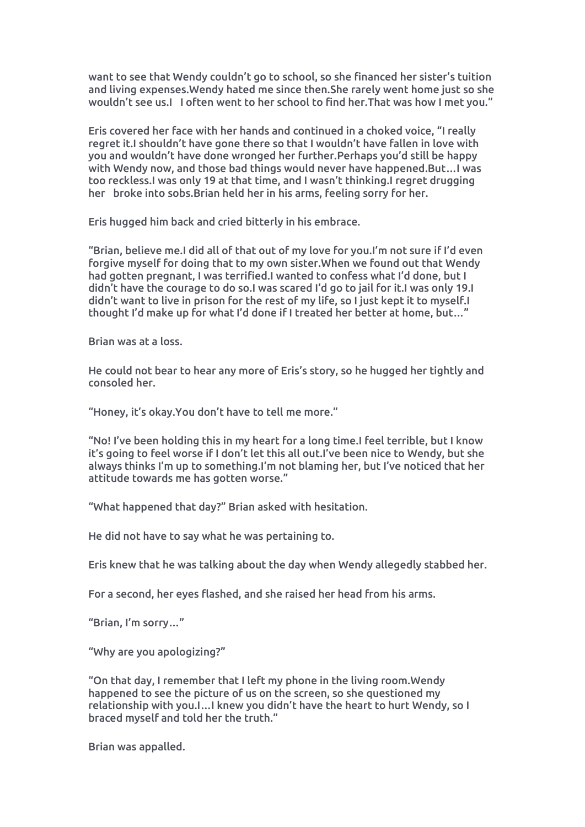want to see that Wendy couldn't go to school, so she financed her sister's tuition and living expenses.Wendy hated me since then.She rarely went home just so she wouldn't see us.I I often went to her school to find her.That was how I met you."

Eris covered her face with her hands and continued in a choked voice, "I really regret it.I shouldn't have gone there so that I wouldn't have fallen in love with you and wouldn't have done wronged her further.Perhaps you'd still be happy with Wendy now, and those bad things would never have happened.But…I was too reckless.I was only 19 at that time, and I wasn't thinking.I regret drugging her broke into sobs.Brian held her in his arms, feeling sorry for her.

Eris hugged him back and cried bitterly in his embrace.<br>"Brian, believe me.I did all of that out of my love for you.I'm not sure if I'd even forgive myself for doing that to my own sister.When we found out that Wendy had gotten pregnant, I was terrified.I wanted to confess what I'd done, but I didn't have the courage to do so.I was scared I'd go to jail for it.I was only 19.I didn't want to live in prison for the rest ofmy life, so I just kept it to myself.I thought I'd make up for what I'd done if I treated her better at home, but…"

Brian was ata loss.

He could not bear to hear any more of Eris's story, so he hugged her tightly and consoled her.

"Honey, it's okay.You don't have to tell me more."

"No! I've been holding this in my heart for a long time.I feel terrible, but I know it's going to feel worse if I don't let this all out.I've been nice to Wendy, but she always thinks I'm up to something.I'm not blaming her, but I've noticed that her attitude towards me has gotten worse."

"What happened that day?" Brian asked with hesitation.

He did not have to say what he was pertaining to.

Eris knew that he was talking about the day when Wendy allegedly stabbed her.

For a second, her eyes flashed, and she raised her head from his arms.

"Brian, I'm sorry…"

"Why are you apologizing?"

"On that day, I remember that I left my phone in the living room.Wendy happened to see the picture of us on the screen, so she questioned my relationship with you.I…I knew you didn't have the heart to hurt Wendy, so I braced myself and told her the truth."

Brian was appalled.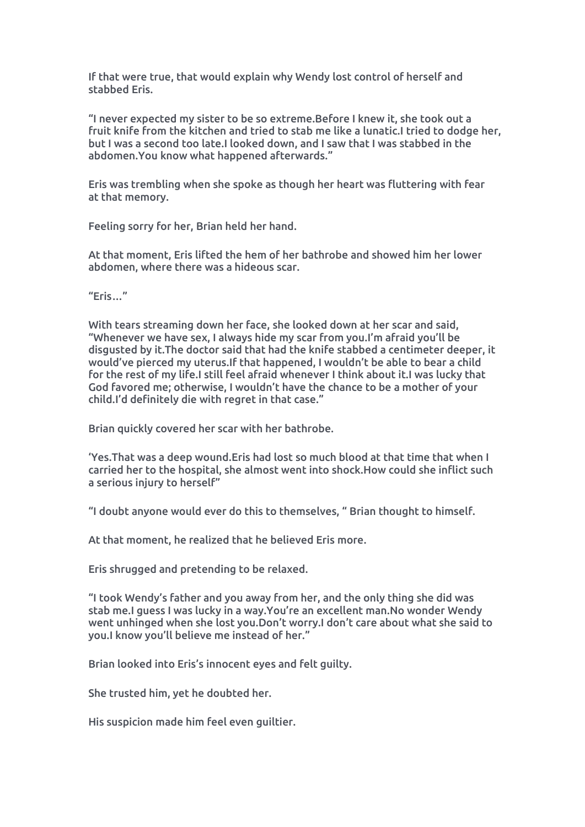If that were true, that would explain why Wendy lost control of herself and stabbed Eris.

"I never expected my sister to be so extreme.Before I knew it, she took out a fruit knife from the kitchen and tried to stab me like a lunatic.I tried to dodge her, but I was a second too late.I looked down, and I saw that I was stabbed in the abdomen.You know what happened afterwards."

Eris was trembling when she spoke as though her heart was fluttering with fear at that memory.

Feeling sorry for her, Brian held her hand.

At that moment, Eris lifted the hem of her bathrobe and showed him her lower abdomen, where there was a hideous scar.

"Eris…"

With tears streaming down her face, she looked down at her scar and said, "Whenever we have sex, I always hide my scar from you.I'm afraid you'll be disgusted by it.The doctor said that had the knife stabbed a centimeter deeper, it would've pierced my uterus.If that happened, I wouldn't be able to bear a child for the rest of my life.I still feel afraid whenever I think about it.I was lucky that God favored me; otherwise, I wouldn't have the chance to be a mother of your child.I'd definitely die with regret in that case."

Brian quickly covered her scar with her bathrobe.

'Yes.That was a deep wound.Eris had lost so much blood at that time that when I carried her to the hospital, she almost went into shock.How could she inflict such a serious injury to herself"

"I doubt anyone would ever do this to themselves, " Brian thought to himself.

At that moment, he realized that he believed Eris more.

Eris shrugged and pretending to be relaxed.

"I took Wendy's father and you away from her, and the only thing she did was stab me.I guess I was lucky in a way.You're an excellent man.No wonder Wendy went unhinged when she lost you.Don't worry.I don't care aboutwhat she said to you.I know you'll believe me instead of her."

Brian looked into Eris's innocent eyes and felt guilty.

She trusted him, yet he doubted her.

His suspicion made him feel even guiltier.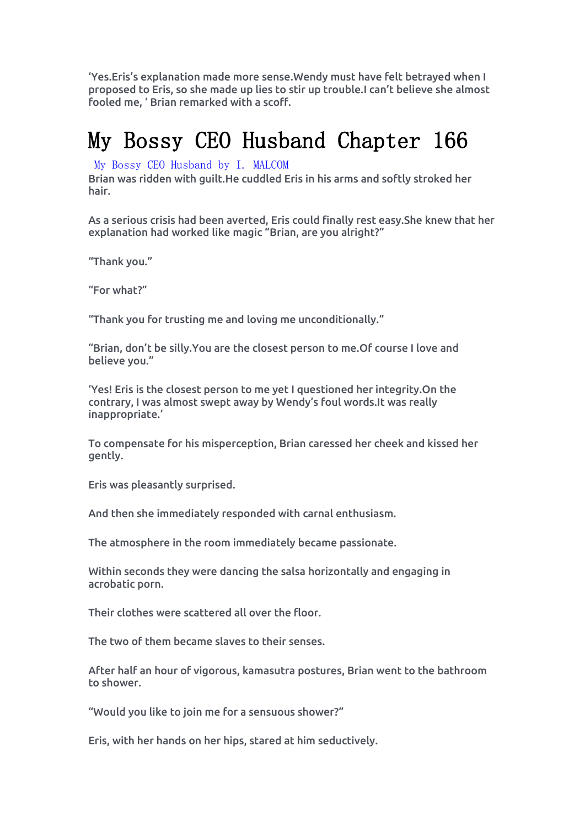'Yes.Eris's explanation made more sense.Wendy must have felt betrayed when I proposed to Eris, so she made up lies to stir up trouble.I can't believe she almost fooled me, ' Brian remarked with a scoff.

## My Bossy CEO Husband Chapter 166

My Bossy CEO [Husband](https://noveljar.com/category/my-bossy-ceo-husband-by-i-malcom/) by I. MALCOM

Brian was ridden with guilt.He cuddled Eris in his arms and softly stroked her hair.

As a serious crisis had been averted, Eris could finally rest easy.She knew that her explanation had worked like magic "Brian, are you alright?"

"Thank you."

"For what?"

"Thank you for trusting me and loving me unconditionally."

"Brian, don't be silly.You are the closest person to me.Of course I love and believe you."

'Yes! Eris is the closest person to me yet I questioned her integrity.On the contrary, I was almost swept away by Wendy's foul words.It was really inappropriate.'

To compensate for his misperception, Brian caressed her cheek and kissed her gently.

Eris was pleasantly surprised.

And then she immediately responded with carnal enthusiasm.

The atmosphere in the room immediately became passionate.

Within seconds they were dancing the salsa horizontally and engaging in acrobatic porn.

Their clothes were scattered all overthe floor.

The two of them became slaves to their senses.

After half an hour of vigorous, kamasutra postures, Brian went to the bathroom to shower.

"Would you like to join me for a sensuous shower?"

Eris, with her hands on her hips, stared at him seductively.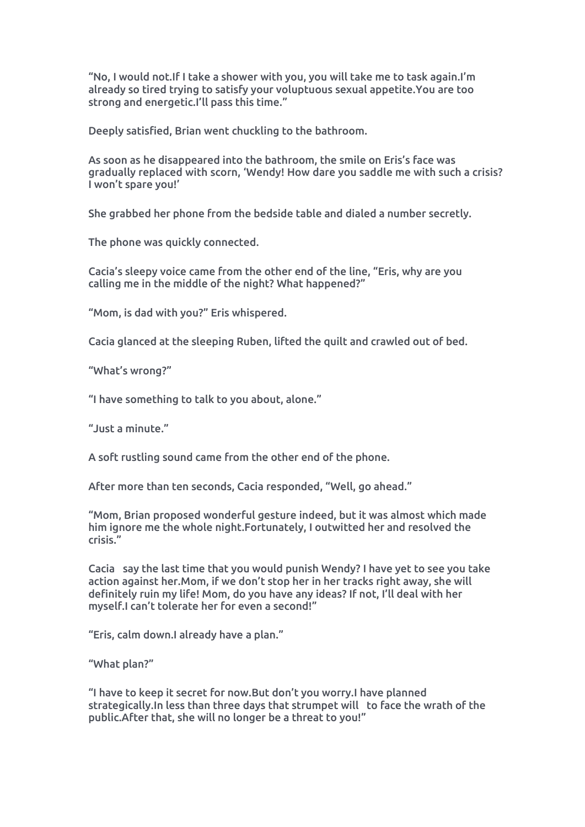"No, I would not.If I take a shower with you, you will take me to task again.I'm already so tired trying to satisfy your voluptuous sexual appetite.You are too strong and energetic.I'll pass this time."

Deeply satisfied, Brian went chuckling to the bathroom.

As soon as he disappeared into the bathroom, the smile on Eris's face was gradually replaced with scorn, 'Wendy! How dare you saddle me with such a crisis? I won't spare you!'

She grabbed her phone from the bedside table and dialed a number secretly.

The phone was quickly connected.

Cacia's sleepy voice came from the other end of the line, "Eris, why are you calling me in the middle of the night? What happened?"

"Mom, is dad with you?" Eris whispered.

Cacia glanced at the sleeping Ruben, lifted the quilt and crawled out of bed.

"What's wrong?"

"I have something to talk to you about, alone."

 $^{\prime\prime}$  lust a minute."

A soft rustling sound came from the other end of the phone.

After more than ten seconds, Cacia responded, "Well, go ahead."

"Mom, Brian proposed wonderful gesture indeed, but it was almost which made him ignore me the whole night.Fortunately, I outwitted her and resolved the crisis."

Cacia say the last time that you would punish Wendy? I have yet to see you take action against her.Mom, if we don't stop her in her tracks right away, she will definitely ruin my life! Mom, do you have any ideas? If not, I'll deal with her myself.I can't tolerate her for even a second!"

"Eris, calm down.I already have a plan."

"What plan?"

"I have to keep it secret for now.But don't you worry.I have planned strategically.In less than three days that strumpet will to face the wrath of the public.After that, she will no longer be a threat to you!"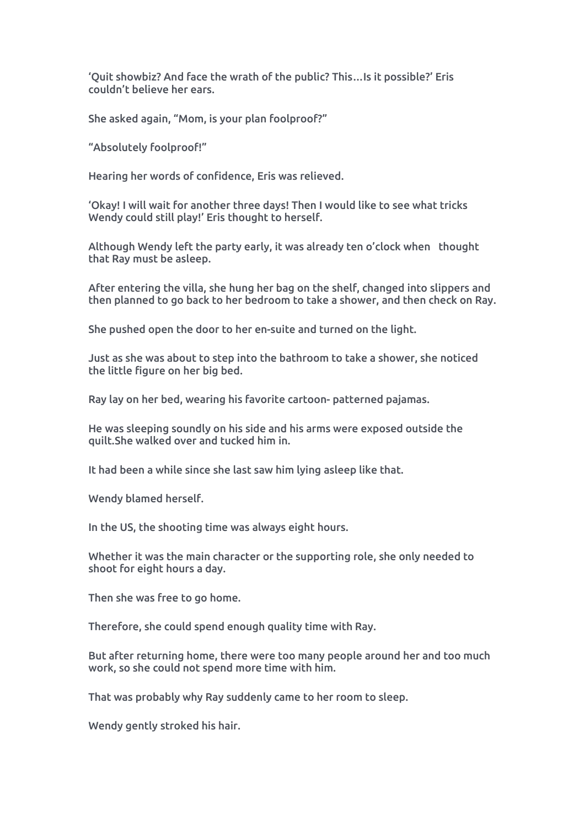'Quit showbiz? And face the wrath of the public? This…Is it possible?' Eris couldn't believe her ears.

She asked again, "Mom, is your plan foolproof?"

"Absolutely foolproof!"

Hearing her words of confidence, Eris was relieved.

'Okay! I will wait for another three days! Then I would like to see what tricks Wendy could still play!' Eris thought to herself.

Although Wendy left the party early, it was already ten o'clock when thought that Ray must be asleep.

After entering the villa, she hung her bag on the shelf, changed into slippers and then planned to go back to her bedroom to take ashower, and then check on Ray.

She pushed open the door to her en-suite and turned on the light.

Just as she was about to step into the bathroom to take a shower, she noticed the little figure on her big bed.

Ray lay on her bed, wearing his favorite cartoon- patterned pajamas.

He was sleeping soundly on his side and his arms were exposed outside the quilt.She walked over and tucked him in.

It had been a while since she last saw him lying asleep like that.

Wendy blamed herself.

In the US, the shooting time was always eight hours.

Whether it was the main character or the supporting role, she only needed to shoot for eight hours a day.

Then she was free to go home.

Therefore, she could spend enough quality time with Ray.

But after returning home, there were too many people around her and too much work, so she could not spend more time with him.

That was probably why Ray suddenly came to her room to sleep.

Wendy gently stroked his hair.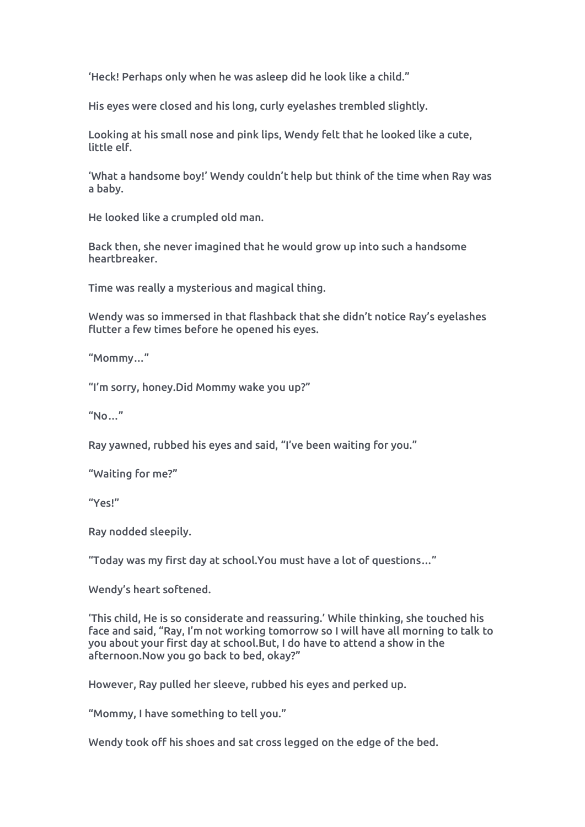'Heck! Perhaps only when he was asleep did he look like a child."

His eyes were closed and his long, curly eyelashes trembled slightly.

Looking at his small nose and pink lips, Wendy felt that he looked like a cute, little elf.

'What a handsome boy!' Wendy couldn't help but think of the time when Ray was a baby.

He looked like a crumpled old man.

Back then, she never imagined that he would grow up intosuch a handsome heartbreaker.

Time was really a mysterious and magical thing.

Wendy was so immersed in that flashback that she didn't notice Ray's eyelashes flutter a few times before he opened his eyes.

"Mommy…"

"I'm sorry, honey.Did Mommy wake you up?"

 $"No..."$ 

Ray yawned, rubbed his eyes and said, "I've been waiting for you."

"Waiting for me?"

"Yes!"

Ray nodded sleepily.

"Today was my first day at school.You must have a lot of questions…"

Wendy's heart softened.

'This child, He is so considerate and reassuring.' While thinking, she touched his face and said, "Ray, I'm not working tomorrow so I will have all morning to talk to you about your first day at school.But, I do have to attend a show in the afternoon.Now you go back to bed, okay?"

However, Ray pulled her sleeve, rubbed his eyes and perked up.

"Mommy, I have something to tell you."

Wendy took off his shoes and sat cross legged on the edge of the bed.